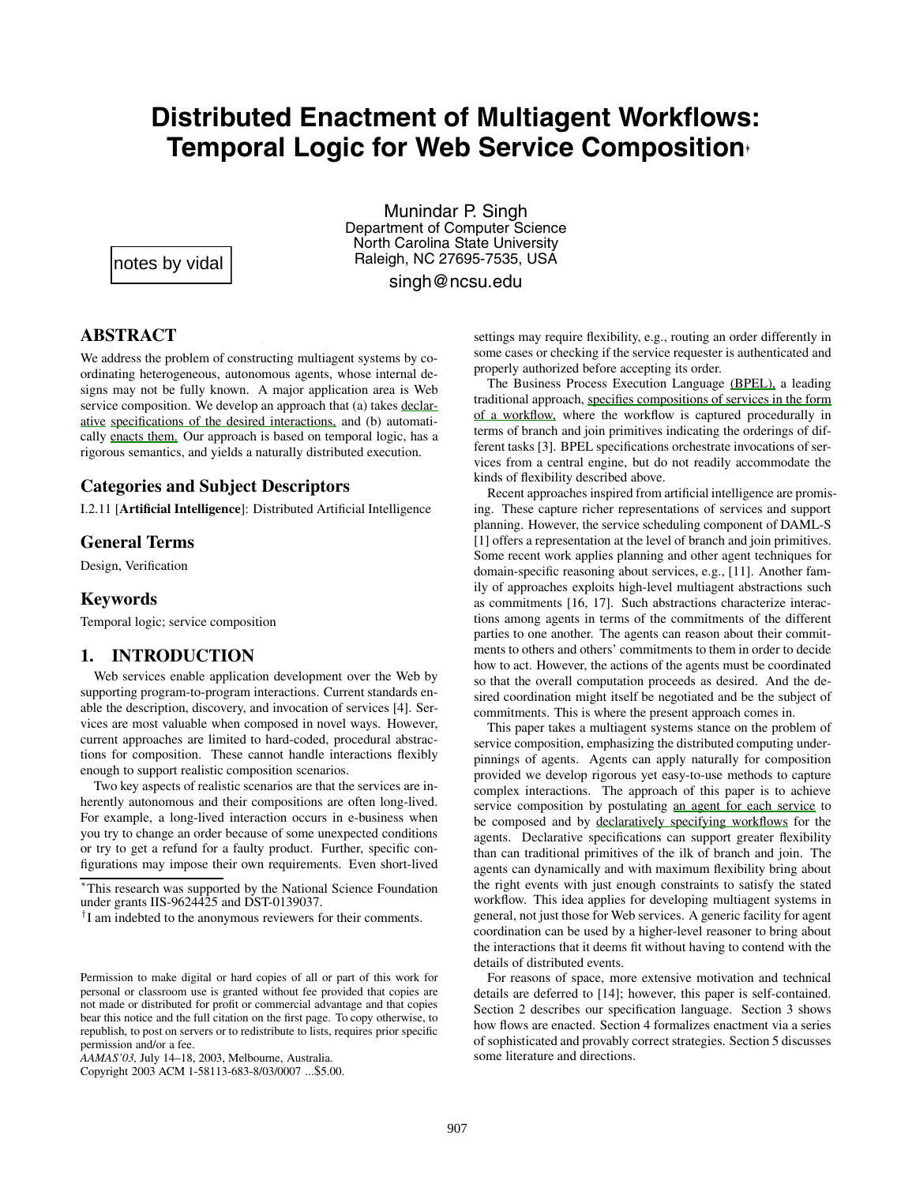# **Distributed Enactment of Multiagent Workflows: Temporal Logic for Web Service Composition**∗†

notes by vidal

Munindar P. Singh Department of Computer Science North Carolina State University Raleigh, NC 27695-7535, USA

singh@ncsu.edu

# **ABSTRACT**

We address the problem of constructing multiagent systems by coordinating heterogeneous, autonomous agents, whose internal designs may not be fully known. A major application area is Web service composition. We develop an approach that (a) takes declarative specifications of the desired interactions, and (b) automatically enacts them. Our approach is based on temporal logic, has a rigorous semantics, and yields a naturally distributed execution.

# **Categories and Subject Descriptors**

I.2.11 [**Artificial Intelligence**]: Distributed Artificial Intelligence

# **General Terms**

Design, Verification

# **Keywords**

Temporal logic; service composition

## **1. INTRODUCTION**

Web services enable application development over the Web by supporting program-to-program interactions. Current standards enable the description, discovery, and invocation of services [4]. Services are most valuable when composed in novel ways. However, current approaches are limited to hard-coded, procedural abstractions for composition. These cannot handle interactions flexibly enough to support realistic composition scenarios.

Two key aspects of realistic scenarios are that the services are inherently autonomous and their compositions are often long-lived. For example, a long-lived interaction occurs in e-business when you try to change an order because of some unexpected conditions or try to get a refund for a faulty product. Further, specific configurations may impose their own requirements. Even short-lived

Copyright 2003 ACM 1-58113-683-8/03/0007 ...\$5.00.

settings may require flexibility, e.g., routing an order differently in some cases or checking if the service requester is authenticated and properly authorized before accepting its order.

The Business Process Execution Language (BPEL), a leading traditional approach, specifies compositions of services in the form of a workflow, where the workflow is captured procedurally in terms of branch and join primitives indicating the orderings of different tasks [3]. BPEL specifications orchestrate invocations of services from a central engine, but do not readily accommodate the kinds of flexibility described above.

Recent approaches inspired from artificial intelligence are promising. These capture richer representations of services and support planning. However, the service scheduling component of DAML-S [1] offers a representation at the level of branch and join primitives. Some recent work applies planning and other agent techniques for domain-specific reasoning about services, e.g., [11]. Another family of approaches exploits high-level multiagent abstractions such as commitments [16, 17]. Such abstractions characterize interactions among agents in terms of the commitments of the different parties to one another. The agents can reason about their commitments to others and others' commitments to them in order to decide how to act. However, the actions of the agents must be coordinated so that the overall computation proceeds as desired. And the desired coordination might itself be negotiated and be the subject of commitments. This is where the present approach comes in.

This paper takes a multiagent systems stance on the problem of service composition, emphasizing the distributed computing underpinnings of agents. Agents can apply naturally for composition provided we develop rigorous yet easy-to-use methods to capture complex interactions. The approach of this paper is to achieve service composition by postulating an agent for each service to be composed and by declaratively specifying workflows for the agents. Declarative specifications can support greater flexibility than can traditional primitives of the ilk of branch and join. The agents can dynamically and with maximum flexibility bring about the right events with just enough constraints to satisfy the stated workflow. This idea applies for developing multiagent systems in general, not just those for Web services. A generic facility for agent coordination can be used by a higher-level reasoner to bring about the interactions that it deems fit without having to contend with the details of distributed events.

For reasons of space, more extensive motivation and technical details are deferred to [14]; however, this paper is self-contained. Section 2 describes our specification language. Section 3 shows how flows are enacted. Section 4 formalizes enactment via a series of sophisticated and provably correct strategies. Section 5 discusses some literature and directions.

<sup>∗</sup>This research was supported by the National Science Foundation under grants IIS-9624425 and DST-0139037.

<sup>&</sup>lt;sup>†</sup>I am indebted to the anonymous reviewers for their comments.

Permission to make digital or hard copies of all or part of this work for personal or classroom use is granted without fee provided that copies are not made or distributed for profit or commercial advantage and that copies bear this notice and the full citation on the first page. To copy otherwise, to republish, to post on servers or to redistribute to lists, requires prior specific permission and/or a fee.

*AAMAS'03,* July 14–18, 2003, Melbourne, Australia.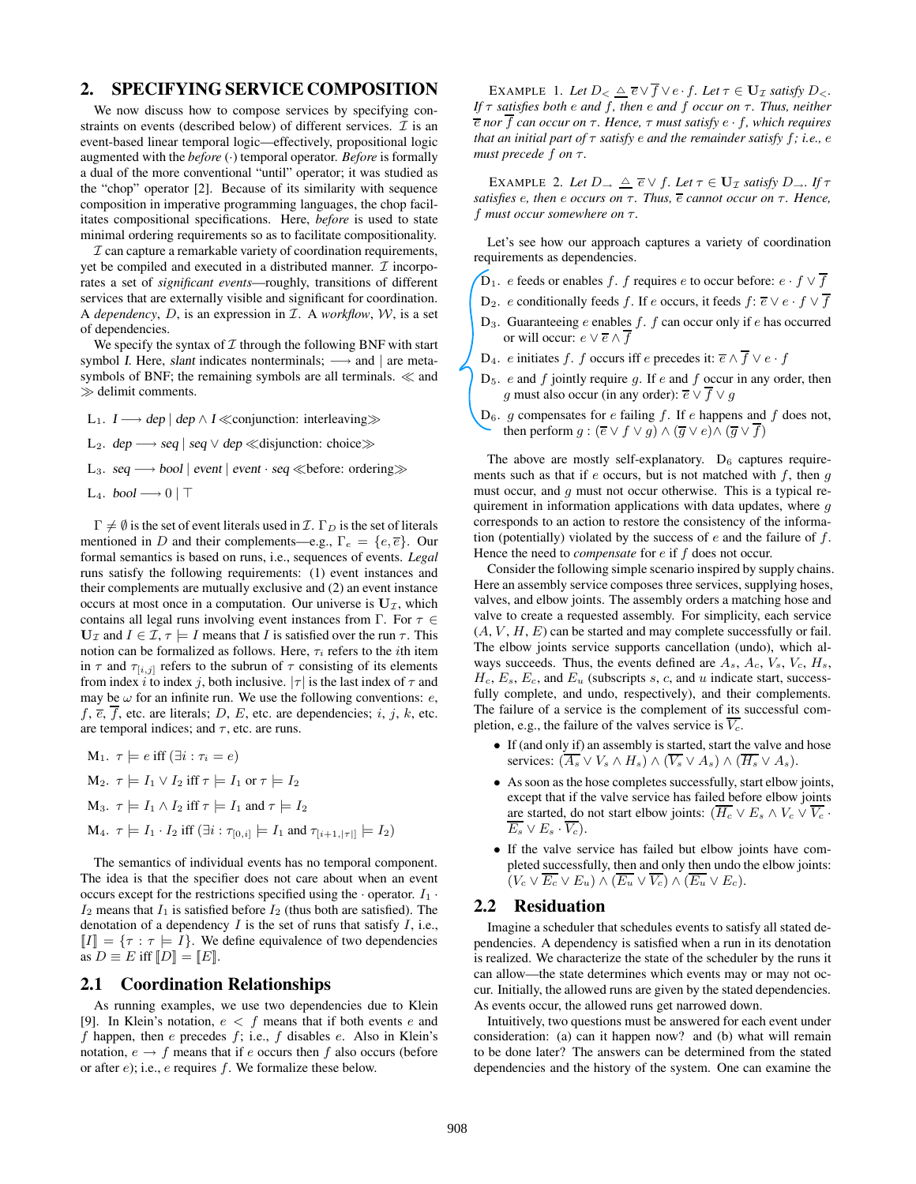## **2. SPECIFYING SERVICE COMPOSITION**

We now discuss how to compose services by specifying constraints on events (described below) of different services.  $\mathcal I$  is an event-based linear temporal logic—effectively, propositional logic augmented with the  $before$  ( $\cdot$ ) temporal operator. *Before* is formally a dual of the more conventional "until" operator; it was studied as the "chop" operator [2]. Because of its similarity with sequence composition in imperative programming languages, the chop facilitates compositional specifications. Here, *before* is used to state minimal ordering requirements so as to facilitate compositionality.

 $I$  can capture a remarkable variety of coordination requirements, yet be compiled and executed in a distributed manner.  $\mathcal I$  incorporates a set of *significant events*—roughly, transitions of different services that are externally visible and significant for coordination. A *dependency*, D, is an expression in  $I$ . A *workflow*, W, is a set of dependencies.

We specify the syntax of  $I$  through the following BNF with start symbol I. Here, slant indicates nonterminals;  $\longrightarrow$  and | are metasymbols of BNF; the remaining symbols are all terminals.  $\ll$  and  $\gg$  delimit comments.

L<sub>1</sub>. *I* → *dep* | *dep*  $\land$  *I* ≪ conjunction: interleaving  $\gg$ 

L<sub>2</sub>. dep → seq | seq  $\lor$  dep «disjunction: choice»

L<sub>3</sub>. seq  $\longrightarrow$  bool | event | event · seq  $\ll$  before: ordering  $\gg$ 

L<sub>4</sub>. bool  $\longrightarrow$  0 |  $\top$ 

 $\Gamma \neq \emptyset$  is the set of event literals used in  $\mathcal{I}$ .  $\Gamma_D$  is the set of literals mentioned in D and their complements—e.g.,  $\Gamma_e = \{e, \overline{e}\}\.$  Our formal semantics is based on runs, i.e., sequences of events. *Legal* runs satisfy the following requirements: (1) event instances and their complements are mutually exclusive and (2) an event instance occurs at most once in a computation. Our universe is  $U_7$ , which contains all legal runs involving event instances from Γ. For  $\tau \in$  $U_{\mathcal{I}}$  and  $I \in \mathcal{I}, \tau \models I$  means that I is satisfied over the run  $\tau$ . This notion can be formalized as follows. Here,  $\tau_i$  refers to the *i*th item in  $\tau$  and  $\tau_{[i,j]}$  refers to the subrun of  $\tau$  consisting of its elements from index i to index j, both inclusive.  $|\tau|$  is the last index of  $\tau$  and may be  $\omega$  for an infinite run. We use the following conventions:  $e$ ,  $f, \overline{e}, \overline{f}$ , etc. are literals; D, E, etc. are dependencies; i, j, k, etc. are temporal indices; and  $\tau$ , etc. are runs.

M<sub>1</sub>. 
$$
\tau \models e
$$
 iff  $(\exists i : \tau_i = e)$   
\nM<sub>2</sub>.  $\tau \models I_1 \lor I_2$  iff  $\tau \models I_1$  or  $\tau \models I_2$   
\nM<sub>3</sub>.  $\tau \models I_1 \land I_2$  iff  $\tau \models I_1$  and  $\tau \models I_2$   
\nM<sub>4</sub>.  $\tau \models I_1 \cdot I_2$  iff  $(\exists i : \tau_{[0,i]} \models I_1$  and  $\tau_{[i+1,|\tau|]} \models I_2)$ 

The semantics of individual events has no temporal component. The idea is that the specifier does not care about when an event occurs except for the restrictions specified using the  $\cdot$  operator.  $I_1 \cdot$  $I_2$  means that  $I_1$  is satisfied before  $I_2$  (thus both are satisfied). The denotation of a dependency  $I$  is the set of runs that satisfy  $I$ , i.e.,  $[I] = {\tau : \tau \models I}$ . We define equivalence of two dependencies as  $D \equiv E$  iff  $[D] = [E]$ .

## **2.1 Coordination Relationships**

As running examples, we use two dependencies due to Klein [9]. In Klein's notation,  $e < f$  means that if both events e and  $f$  happen, then  $e$  precedes  $f$ ; i.e.,  $f$  disables  $e$ . Also in Klein's notation,  $e \rightarrow f$  means that if e occurs then f also occurs (before or after  $e$ ); i.e.,  $e$  requires  $f$ . We formalize these below.

EXAMPLE 1. Let  $D_{\leq} \triangleq \overline{e} \vee f \vee e \cdot f$ . Let  $\tau \in U_{\mathcal{I}}$  satisfy  $D_{\leq}$ .<br>
Exatisfies both e and f, then e and f, occur on  $\tau$ . Thus, neither *If* τ *satisfies both* e *and* f*, then* e *and* f *occur on* τ *. Thus, neither*  $\overline{e}$  *nor*  $\overline{f}$  *can occur on*  $\tau$ *. Hence,*  $\tau$  *must satisfy*  $e \cdot f$ *, which requires that an initial part of*  $\tau$  *satisfy*  $e$  *and the remainder satisfy*  $f$ *; i.e.,*  $e$ *must precede f on τ.* 

EXAMPLE 2. Let  $D \to \triangle \overline{e} \vee f$ . Let  $\tau \in U_{\mathcal{I}}$  satisfy  $D \to If \tau$ <br>is fies e then e occurs on  $\tau$ . Thus  $\overline{e}$  cannot occur on  $\tau$ . Hence *satisfies* <sup>e</sup>*, then* <sup>e</sup> *occurs on* <sup>τ</sup> *. Thus,* e *cannot occur on* τ *. Hence,* f must occur somewhere on τ.

Let's see how our approach captures a variety of coordination requirements as dependencies.

- D<sub>1</sub>. *e* feeds or enables f. f requires *e* to occur before:  $e \cdot f \vee \overline{f}$
- D<sub>2</sub>. *e* conditionally feeds *f*. If *e* occurs, it feeds  $f: \overline{e} \vee e \cdot f \vee \overline{f}$
- $D_3$ . Guaranteeing e enables f. f can occur only if e has occurred or will occur:  $e \vee \overline{e} \wedge \overline{f}$
- D<sub>4</sub>. *e* initiates f. f occurs iff *e* precedes it:  $\overline{e} \wedge \overline{f} \vee e \cdot f$
- $D_5$ . *e* and *f* jointly require *g*. If *e* and *f* occur in any order, then g must also occur (in any order):  $\overline{e} \vee \overline{f} \vee g$
- $D_6$ . q compensates for e failing f. If e happens and f does not, then perform  $q : (\overline{e} \vee f \vee q) \wedge (\overline{q} \vee e) \wedge (\overline{q} \vee \overline{f})$

The above are mostly self-explanatory.  $D_6$  captures requirements such as that if  $e$  occurs, but is not matched with  $f$ , then  $g$ must occur, and  $g$  must not occur otherwise. This is a typical requirement in information applications with data updates, where  $g$ corresponds to an action to restore the consistency of the information (potentially) violated by the success of  $e$  and the failure of  $f$ . Hence the need to *compensate* for e if f does not occur.

Consider the following simple scenario inspired by supply chains. Here an assembly service composes three services, supplying hoses, valves, and elbow joints. The assembly orders a matching hose and valve to create a requested assembly. For simplicity, each service  $(A, V, H, E)$  can be started and may complete successfully or fail. The elbow joints service supports cancellation (undo), which always succeeds. Thus, the events defined are  $A_s$ ,  $A_c$ ,  $V_s$ ,  $V_c$ ,  $H_s$ ,  $H_c$ ,  $E_s$ ,  $E_c$ , and  $E_u$  (subscripts s, c, and u indicate start, successfully complete, and undo, respectively), and their complements. The failure of a service is the complement of its successful completion, e.g., the failure of the valves service is  $\overline{V_c}$ .

- If (and only if) an assembly is started, start the valve and hose services:  $(\overline{A_s} \vee V_s \wedge H_s) \wedge (\overline{V_s} \vee A_s) \wedge (\overline{H_s} \vee A_s).$
- As soon as the hose completes successfully, start elbow joints, except that if the valve service has failed before elbow joints are started, do not start elbow joints:  $(\overline{H_c} \vee E_s \wedge V_c \vee \overline{V_c} \cdot$  $\overline{E_s} \vee E_s \cdot \overline{V_c}$ ).
- If the valve service has failed but elbow joints have completed successfully, then and only then undo the elbow joints:  $(V_c \vee \overline{E_c} \vee E_u) \wedge (\overline{E_u} \vee \overline{V_c}) \wedge (\overline{E_u} \vee E_c).$

### **2.2 Residuation**

Imagine a scheduler that schedules events to satisfy all stated dependencies. A dependency is satisfied when a run in its denotation is realized. We characterize the state of the scheduler by the runs it can allow—the state determines which events may or may not occur. Initially, the allowed runs are given by the stated dependencies. As events occur, the allowed runs get narrowed down.

Intuitively, two questions must be answered for each event under consideration: (a) can it happen now? and (b) what will remain to be done later? The answers can be determined from the stated dependencies and the history of the system. One can examine the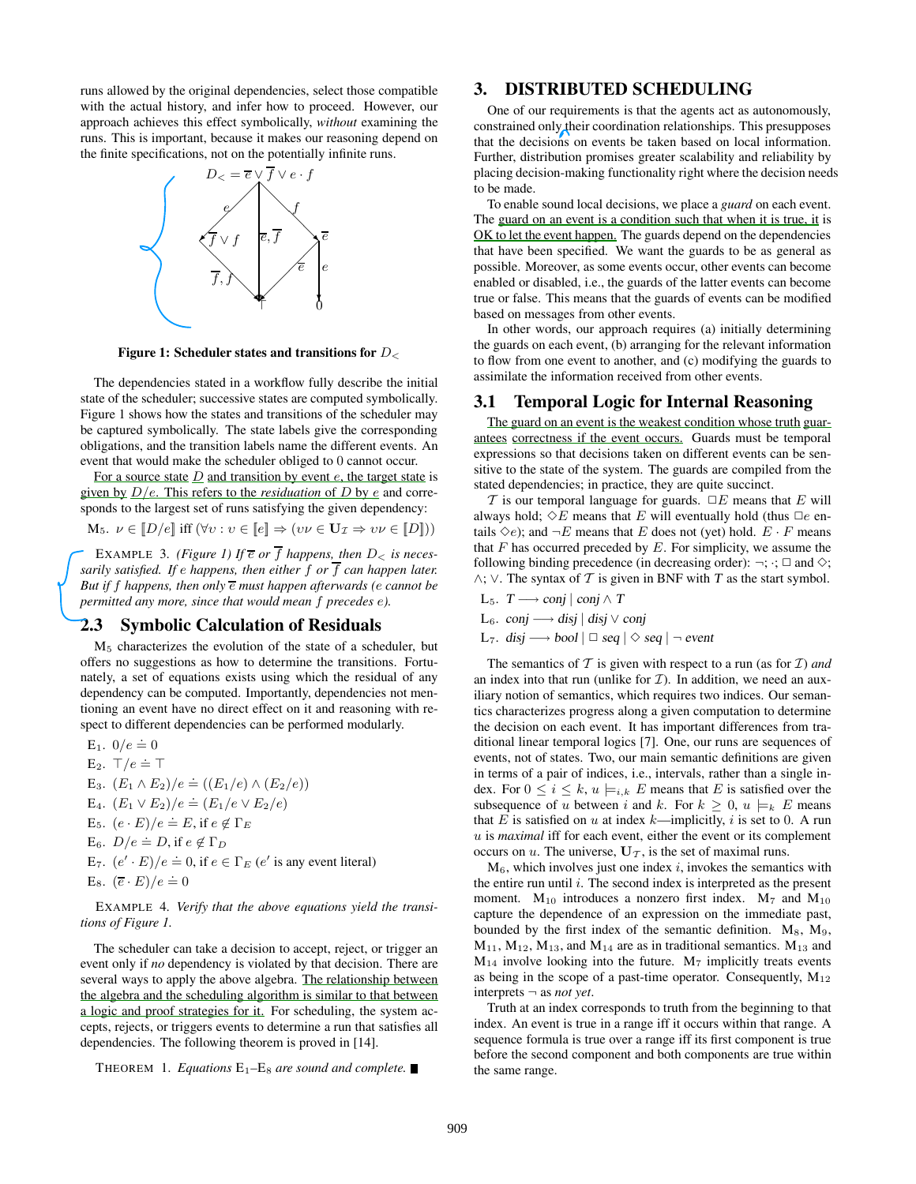runs allowed by the original dependencies, select those compatible with the actual history, and infer how to proceed. However, our approach achieves this effect symbolically, *without* examining the runs. This is important, because it makes our reasoning depend on the finite specifications, not on the potentially infinite runs.



**Figure 1: Scheduler states and transitions for** <sup>D</sup><sup>&</sup>lt;

The dependencies stated in a workflow fully describe the initial state of the scheduler; successive states are computed symbolically. Figure 1 shows how the states and transitions of the scheduler may be captured symbolically. The state labels give the corresponding obligations, and the transition labels name the different events. An event that would make the scheduler obliged to 0 cannot occur.

For a source state  $D$  and transition by event  $e$ , the target state is given by  $D/e$ . This refers to the *residuation* of D by  $e$  and corresponds to the largest set of runs satisfying the given dependency:

$$
\mathbf{M}_5. \ \nu \in [D/e] \text{ iff } (\forall \nu : \nu \in [e] \Rightarrow (\nu \nu \in \mathbf{U}_{\mathcal{I}} \Rightarrow \nu \nu \in [D]))
$$

EXAMPLE 3. *(Figure 1)* If  $\overline{e}$  or  $\overline{f}$  happens, then  $D<sub>lt</sub>$  is neces*sarily satisfied. If e happens, then either* f *or*  $\overline{f}$  *can happen later. But if f happens, then only*  $\overline{e}$  *must happen afterwards (e cannot be permitted any more, since that would mean f precedes e).*<br>**2.3 Symbolic Calculation of Residuals** 

## **2.3 Symbolic Calculation of Residuals**

M<sup>5</sup> characterizes the evolution of the state of a scheduler, but offers no suggestions as how to determine the transitions. Fortunately, a set of equations exists using which the residual of any dependency can be computed. Importantly, dependencies not mentioning an event have no direct effect on it and reasoning with respect to different dependencies can be performed modularly.

$$
E_1. \ 0/e \doteq 0
$$

 $E_2$ .  $\top/e = \top$ 

E<sub>3</sub>.  $(E_1 \wedge E_2)/e$  = ( $(E_1/e) \wedge (E_2/e)$ )

- E<sub>4</sub>.  $(E_1 \vee E_2)/e \doteq (E_1/e \vee E_2/e)$
- E<sub>5</sub>.  $(e \cdot E)/e \doteq E$ , if  $e \notin \Gamma_E$
- $E_6$ .  $D/e \doteq D$ , if  $e \notin \Gamma_D$
- $E_7$ .  $(e' \cdot E)/e = 0$ , if  $e \in \Gamma_E$  (e' is any event literal)

$$
E_8. \ (\overline{e} \cdot E)/e \doteq 0
$$

EXAMPLE 4. *Verify that the above equations yield the transitions of Figure 1.*

The scheduler can take a decision to accept, reject, or trigger an event only if *no* dependency is violated by that decision. There are several ways to apply the above algebra. The relationship between the algebra and the scheduling algorithm is similar to that between a logic and proof strategies for it. For scheduling, the system accepts, rejects, or triggers events to determine a run that satisfies all dependencies. The following theorem is proved in [14].

THEOREM 1. *Equations*  $E_1$ – $E_8$  *are sound and complete.* 

## **3. DISTRIBUTED SCHEDULING**

One of our requirements is that the agents act as autonomously, constrained only their coordination relationships. This presupposes that the decisions on events be taken based on local information. Further, distribution promises greater scalability and reliability by placing decision-making functionality right where the decision needs to be made.

To enable sound local decisions, we place a *guard* on each event. The guard on an event is a condition such that when it is true, it is OK to let the event happen. The guards depend on the dependencies that have been specified. We want the guards to be as general as possible. Moreover, as some events occur, other events can become enabled or disabled, i.e., the guards of the latter events can become true or false. This means that the guards of events can be modified based on messages from other events.

In other words, our approach requires (a) initially determining the guards on each event, (b) arranging for the relevant information to flow from one event to another, and (c) modifying the guards to assimilate the information received from other events.

# **3.1 Temporal Logic for Internal Reasoning**

The guard on an event is the weakest condition whose truth guarantees correctness if the event occurs. Guards must be temporal expressions so that decisions taken on different events can be sensitive to the state of the system. The guards are compiled from the stated dependencies; in practice, they are quite succinct.

 $\mathcal T$  is our temporal language for guards.  $\Box E$  means that E will always hold;  $\Diamond E$  means that E will eventually hold (thus  $\Box e$  entails  $\Diamond e$ ); and  $\neg E$  means that E does not (yet) hold.  $E \cdot F$  means that  $F$  has occurred preceded by  $E$ . For simplicity, we assume the following binding precedence (in decreasing order):  $\neg$ ;  $\Box$  and  $\diamond$ ;  $\wedge$ ;  $\vee$ . The syntax of T is given in BNF with T as the start symbol.

- L<sub>5</sub>.  $T \longrightarrow conj \mid conj \wedge T$
- L<sub>6</sub>. conj  $\longrightarrow$  disj | disj  $\lor$  conj
- L<sub>7</sub>. disj  $\longrightarrow$  bool  $\mid$   $\sqsupset$  seq  $\mid$   $\sim$  seq  $\mid$   $\neg$  event

The semantics of  $T$  is given with respect to a run (as for  $T$ ) *and* an index into that run (unlike for  $\mathcal{I}$ ). In addition, we need an auxiliary notion of semantics, which requires two indices. Our semantics characterizes progress along a given computation to determine the decision on each event. It has important differences from traditional linear temporal logics [7]. One, our runs are sequences of events, not of states. Two, our main semantic definitions are given in terms of a pair of indices, i.e., intervals, rather than a single index. For  $0 \le i \le k$ ,  $u \models_{i,k} E$  means that E is satisfied over the subsequence of u between i and k. For  $k \geq 0$ ,  $u \models_k E$  means that E is satisfied on u at index  $k$ —implicitly, i is set to 0. A run u is *maximal* iff for each event, either the event or its complement occurs on u. The universe,  $U_T$ , is the set of maximal runs.

 $M_6$ , which involves just one index i, invokes the semantics with the entire run until  $i$ . The second index is interpreted as the present moment.  $M_{10}$  introduces a nonzero first index.  $M_7$  and  $M_{10}$ capture the dependence of an expression on the immediate past, bounded by the first index of the semantic definition.  $M_8$ ,  $M_9$ ,  $M_{11}$ ,  $M_{12}$ ,  $M_{13}$ , and  $M_{14}$  are as in traditional semantics.  $M_{13}$  and  $M_{14}$  involve looking into the future.  $M_7$  implicitly treats events as being in the scope of a past-time operator. Consequently,  $M_{12}$ interprets ¬ as *not yet*.

Truth at an index corresponds to truth from the beginning to that index. An event is true in a range iff it occurs within that range. A sequence formula is true over a range iff its first component is true before the second component and both components are true within the same range.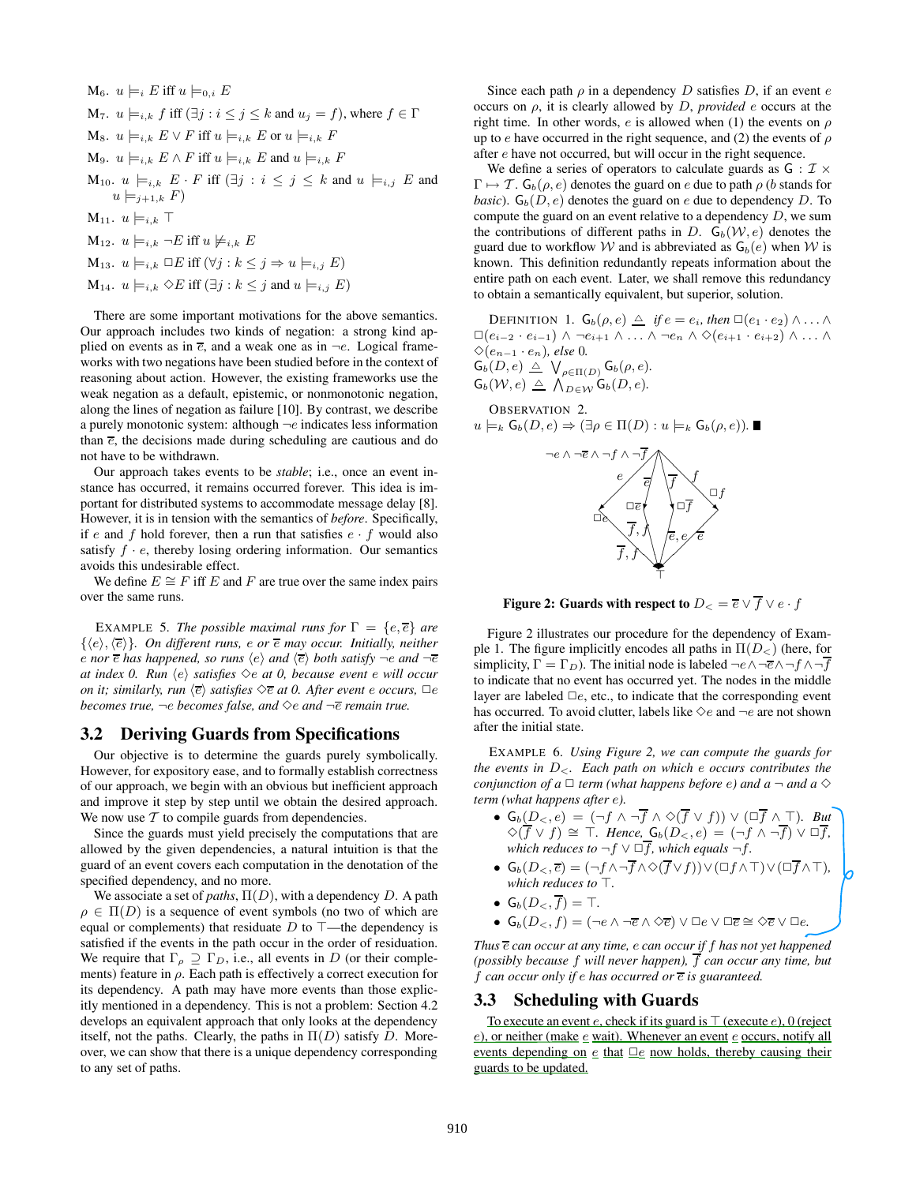M<sub>6</sub>. 
$$
u \models_i E
$$
 iff  $u \models_{0,i} E$   
\nM<sub>7</sub>.  $u \models_{i,k} f$  iff  $(\exists j : i \leq j \leq k$  and  $u_j = f$ ), where  $f \in \Gamma$   
\nM<sub>8</sub>.  $u \models_{i,k} E \vee F$  iff  $u \models_{i,k} E$  or  $u \models_{i,k} F$   
\nM<sub>9</sub>.  $u \models_{i,k} E \wedge F$  iff  $u \models_{i,k} E$  and  $u \models_{i,k} F$   
\nM<sub>10</sub>.  $u \models_{i,k} E \cdot F$  iff  $(\exists j : i \leq j \leq k$  and  $u \models_{i,j} E$  and  $u \models_{j+1,k} F$ )  
\nM<sub>11</sub>.  $u \models_{i,k} \top$   
\nM<sub>12</sub>.  $u \models_{i,k} \neg E$  iff  $u \not\models_{i,k} E$ 

M<sub>13</sub>.  $u \models_{i,k} \Box E$  iff  $(\forall j : k \leq j \Rightarrow u \models_{i,j} E)$  $M_{14}$ .  $u \models_{i,k} \Diamond E$  iff  $(\exists j : k \leq j$  and  $u \models_{i,j} E)$ 

There are some important motivations for the above semantics. Our approach includes two kinds of negation: a strong kind applied on events as in  $\overline{e}$ , and a weak one as in  $\neg e$ . Logical frameworks with two negations have been studied before in the context of reasoning about action. However, the existing frameworks use the weak negation as a default, epistemic, or nonmonotonic negation, along the lines of negation as failure [10]. By contrast, we describe a purely monotonic system: although  $\neg e$  indicates less information than  $\overline{e}$ , the decisions made during scheduling are cautious and do not have to be withdrawn.

Our approach takes events to be *stable*; i.e., once an event instance has occurred, it remains occurred forever. This idea is important for distributed systems to accommodate message delay [8]. However, it is in tension with the semantics of *before*. Specifically, if e and f hold forever, then a run that satisfies  $e \cdot f$  would also satisfy  $f \cdot e$ , thereby losing ordering information. Our semantics avoids this undesirable effect.

We define  $E \cong F$  iff E and F are true over the same index pairs over the same runs.

EXAMPLE 5. *The possible maximal runs for*  $\Gamma = \{e, \overline{e}\}\$ are  $\{\langle e\rangle, \langle \overline{e}\rangle\}$ . On different runs, e or  $\overline{e}$  may occur. Initially, neither *e* nor  $\overline{e}$  has happened, so runs  $\langle e \rangle$  and  $\langle \overline{e} \rangle$  both satisfy  $\neg e$  and  $\neg \overline{e}$ *at index 0. Run*  $\langle e \rangle$  *satisfies*  $\Diamond e$  *at 0, because event e will occur on it; similarly, run*  $\langle \overline{e} \rangle$  *satisfies*  $\Diamond \overline{e}$  *at 0. After event e occurs,*  $\Box e$ *becomes true,*  $\neg$ *e becomes false, and*  $\Diamond$ *e and*  $\neg$  $\overline{e}$  *remain true.* 

#### **3.2 Deriving Guards from Specifications**

Our objective is to determine the guards purely symbolically. However, for expository ease, and to formally establish correctness of our approach, we begin with an obvious but inefficient approach and improve it step by step until we obtain the desired approach. We now use  $T$  to compile guards from dependencies.

Since the guards must yield precisely the computations that are allowed by the given dependencies, a natural intuition is that the guard of an event covers each computation in the denotation of the specified dependency, and no more.

We associate a set of *paths*,  $\Pi(D)$ , with a dependency D. A path  $\rho \in \Pi(D)$  is a sequence of event symbols (no two of which are equal or complements) that residuate  $D$  to  $\top$ —the dependency is satisfied if the events in the path occur in the order of residuation. We require that  $\Gamma_{\rho} \supseteq \Gamma_D$ , i.e., all events in D (or their complements) feature in  $\rho$ . Each path is effectively a correct execution for its dependency. A path may have more events than those explicitly mentioned in a dependency. This is not a problem: Section 4.2 develops an equivalent approach that only looks at the dependency itself, not the paths. Clearly, the paths in  $\Pi(D)$  satisfy D. Moreover, we can show that there is a unique dependency corresponding to any set of paths.

Since each path  $\rho$  in a dependency D satisfies D, if an event e occurs on ρ, it is clearly allowed by D, *provided* e occurs at the right time. In other words, e is allowed when (1) the events on  $\rho$ up to e have occurred in the right sequence, and (2) the events of  $\rho$ after e have not occurred, but will occur in the right sequence.

We define a series of operators to calculate guards as  $G : \mathcal{I} \times$  $\Gamma \mapsto \mathcal{T}$ .  $G_b(\rho, e)$  denotes the guard on e due to path  $\rho$  (b stands for *basic*).  $G_b(D, e)$  denotes the guard on e due to dependency D. To compute the guard on an event relative to a dependency  $D$ , we sum the contributions of different paths in D.  $G_b(\mathcal{W}, e)$  denotes the guard due to workflow W and is abbreviated as  $G_b(e)$  when W is known. This definition redundantly repeats information about the entire path on each event. Later, we shall remove this redundancy to obtain a semantically equivalent, but superior, solution.

**DEFINITION** 1.  $G_b(\rho, e) \triangleq if e = e_i$ , then  $\Box(e_1 \cdot e_2) \wedge ... \wedge$  $\Box(e_{i-2} \cdot e_{i-1}) \land \neg e_{i+1} \land \ldots \land \neg e_n \land \Diamond(e_{i+1} \cdot e_{i+2}) \land \ldots \land$ ✸(e<sup>n</sup>−<sup>1</sup> · <sup>e</sup><sup>n</sup>)*, else* <sup>0</sup>*.*  $G_b(D, e) \triangleq \bigvee_{\rho \in \Pi(D)} G_b(\rho, e)$ .<br>C (M) a)  $\wedge$  **A** C (D a)  $\mathsf{G}_{b}(\mathcal{W},e) \triangleq \bigwedge_{D\in\mathcal{W}}\mathsf{G}_{b}(D,e).$ 

OBSERVATION 2.  $u \models_k \mathsf{G}_b(D, e) \Rightarrow (\exists \rho \in \Pi(D) : u \models_k \mathsf{G}_b(\rho, e))$ .



**Figure 2: Guards with respect to**  $D_{\leq} = \overline{e} \vee \overline{f} \vee e \cdot f$ 

Figure 2 illustrates our procedure for the dependency of Example 1. The figure implicitly encodes all paths in  $\Pi(D<)$  (here, for simplicity,  $\Gamma = \Gamma_D$ ). The initial node is labeled  $\neg e \wedge \neg \overline{e} \wedge \neg f \wedge \neg f$ to indicate that no event has occurred yet. The nodes in the middle layer are labeled  $\Box e$ , etc., to indicate that the corresponding event has occurred. To avoid clutter, labels like  $\Diamond e$  and  $\neg e$  are not shown after the initial state.

EXAMPLE 6. *Using Figure 2, we can compute the guards for the events in* <sup>D</sup><sup>&</sup>lt;*. Each path on which* e *occurs contributes the conjunction of a*  $\Box$  *term (what happens before e) and a*  $\Diamond$  *term (what happens after e). term (what happens after e).*<br>  $\bullet$   $\overline{C}$   $(D \circ ) = (-f \circ )$ 

- $G_b(D_<, e) = (\neg f \land \neg f \land \Diamond (f \lor f)) \lor (\Box f \land \top)$ . But<br> $\Diamond(\overline{f} \lor f) \cong \top$  Hence  $G_b(D_<, e) = (\neg f \land \neg f) \lor \Box \top$  $\Diamond(\overline{f} \vee f) \cong \overline{T}$ . Hence,  $G_b(D_<, e) = (\neg f \wedge \neg \overline{f}) \vee \Box \overline{f}$ ,<br>which reduces to  $\neg f \vee \Box \overline{f}$  which equals  $\neg f$ *which reduces to*  $\neg f \lor \Box f$ *, which equals*  $\neg f$ .
- $G_b(D_<, \overline{e}) = (\neg f \land \neg f \land \Diamond (f \lor f)) \lor (\Box f \land \top) \lor (\Box f \land \top)$ *,*<br>which reduces to  $\top$ *which reduces to*  $\top$ .
- $G_b(D_<,\overline{f}) = T$ .
- $G_b(D_<, f) = (\neg e \land \neg \overline{e} \land \Diamond \overline{e}) \lor \Box e \lor \Box \overline{e} \cong \Diamond \overline{e} \lor \Box e$ .

*Thus*  $\overline{e}$  *can occur at any time, e can occur if*  $f$  *has not yet happened (possibly because* f *will never happen),* <sup>f</sup> *can occur any time, but f* can occur only if e has occurred or  $\overline{e}$  is guaranteed.

#### **3.3 Scheduling with Guards**

To execute an event e, check if its guard is  $\top$  (execute e), 0 (reject e), or neither (make  $e$  wait). Whenever an event  $e$  occurs, notify all events depending on  $\epsilon$  that  $\Box \epsilon$  now holds, thereby causing their guards to be updated.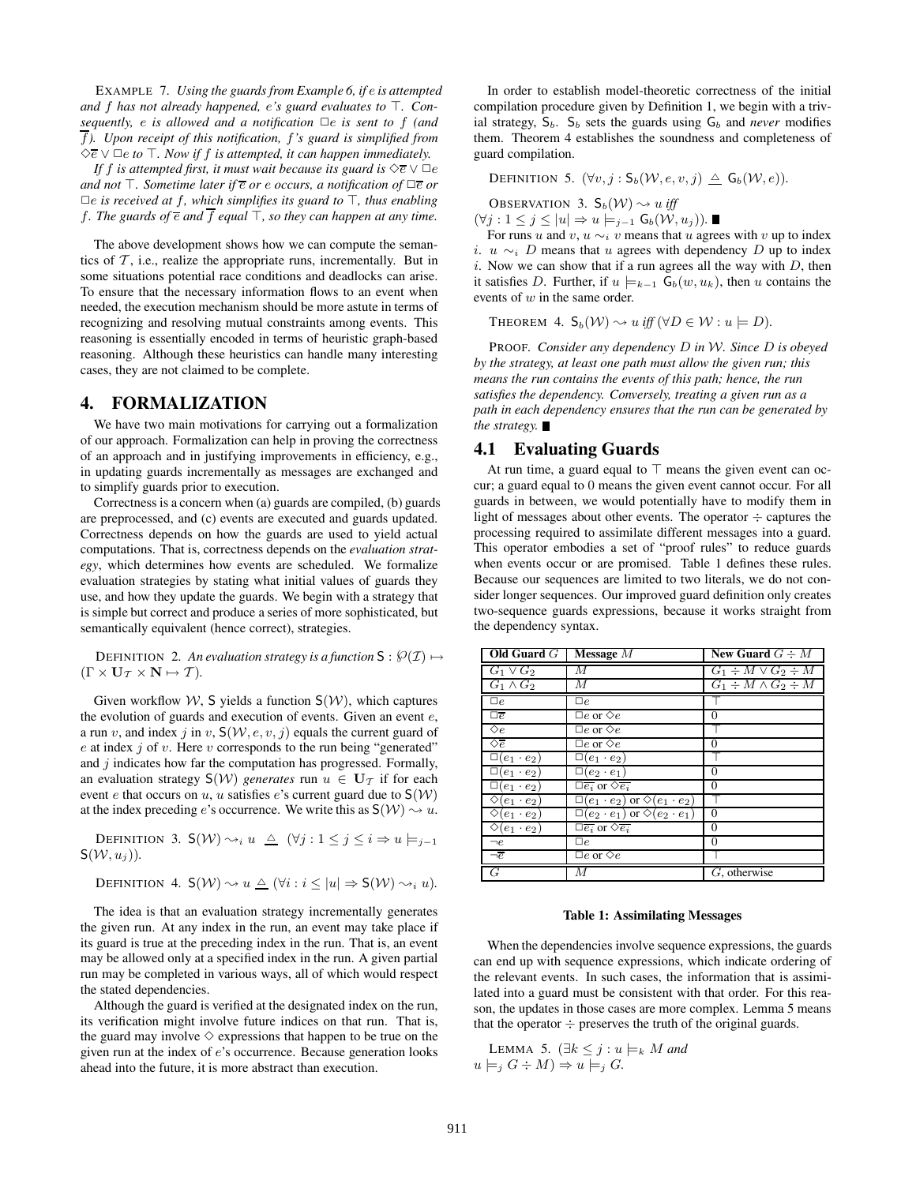EXAMPLE 7. *Using the guards from Example 6, if* e *is attempted* and f has not already happened, e's guard evaluates to  $\top$ . Con*sequently, e is allowed and a notification*  $\Box$ *e is sent to f (and* f*). Upon receipt of this notification,* f*'s guard is simplified from*  $\diamond\overline{e}$   $\vee$   $\Box$ *e* to  $\top$ *. Now if f is attempted, it can happen immediately.* 

*If* f *is attempted first, it must wait because its guard is*  $\Diamond \overline{e} \vee \Box e$ *and not*  $\top$ *. Sometime later if*  $\overline{e}$  *or e occurs, a notification of*  $\Box \overline{e}$  *or*  $\Box$ *e is received at f, which simplifies its guard to*  $\top$ *, thus enabling f.* The guards of  $\overline{e}$  and  $f$  equal  $\top$ , so they can happen at any time.

The above development shows how we can compute the semantics of  $T$ , i.e., realize the appropriate runs, incrementally. But in some situations potential race conditions and deadlocks can arise. To ensure that the necessary information flows to an event when needed, the execution mechanism should be more astute in terms of recognizing and resolving mutual constraints among events. This reasoning is essentially encoded in terms of heuristic graph-based reasoning. Although these heuristics can handle many interesting cases, they are not claimed to be complete.

#### **4. FORMALIZATION**

We have two main motivations for carrying out a formalization of our approach. Formalization can help in proving the correctness of an approach and in justifying improvements in efficiency, e.g., in updating guards incrementally as messages are exchanged and to simplify guards prior to execution.

Correctness is a concern when (a) guards are compiled, (b) guards are preprocessed, and (c) events are executed and guards updated. Correctness depends on how the guards are used to yield actual computations. That is, correctness depends on the *evaluation strategy*, which determines how events are scheduled. We formalize evaluation strategies by stating what initial values of guards they use, and how they update the guards. We begin with a strategy that is simple but correct and produce a series of more sophisticated, but semantically equivalent (hence correct), strategies.

DEFINITION 2. An evaluation strategy is a function  $S : \mathcal{O}(\mathcal{I}) \mapsto$  $(\Gamma \times \mathbf{U}_\mathcal{T} \times \mathbf{N} \mapsto \mathcal{T}).$ 

Given workflow W, S yields a function  $S(W)$ , which captures the evolution of guards and execution of events. Given an event e, a run v, and index j in v,  $S(W, e, v, j)$  equals the current guard of  $e$  at index  $j$  of  $v$ . Here  $v$  corresponds to the run being "generated" and  $j$  indicates how far the computation has progressed. Formally, an evaluation strategy  $S(W)$  *generates* run  $u \in U_T$  if for each event e that occurs on  $u$ ,  $u$  satisfies  $e$ 's current guard due to  $S(W)$ at the index preceding e's occurrence. We write this as  $S(\mathcal{W}) \rightarrow u$ .

DEFINITION 3.  $S(W) \rightsquigarrow_i u \triangleq (\forall j : 1 \leq j \leq i \Rightarrow u \models_{j-1} N(y_i)$  $S(W, u<sub>i</sub>)$ ).

DEFINITION 4.  $S(W) \rightsquigarrow u \triangle ( \forall i : i \leq |u| \Rightarrow S(W) \rightsquigarrow_i u).$ 

The idea is that an evaluation strategy incrementally generates the given run. At any index in the run, an event may take place if its guard is true at the preceding index in the run. That is, an event may be allowed only at a specified index in the run. A given partial run may be completed in various ways, all of which would respect the stated dependencies.

Although the guard is verified at the designated index on the run, its verification might involve future indices on that run. That is, the guard may involve  $\diamondsuit$  expressions that happen to be true on the given run at the index of e's occurrence. Because generation looks ahead into the future, it is more abstract than execution.

In order to establish model-theoretic correctness of the initial compilation procedure given by Definition 1, we begin with a trivial strategy,  $S_b$ .  $S_b$  sets the guards using  $G_b$  and *never* modifies them. Theorem 4 establishes the soundness and completeness of guard compilation.

DEFINITION 5. 
$$
(\forall v, j : S_b(W, e, v, j) \triangleq G_b(W, e)
$$
).

OBSERVATION 3.  $S_b(W) \rightsquigarrow u$  *iff*  $(\forall j : 1 \leq j \leq |u| \Rightarrow u \models_{j-1} \mathsf{G}_b(\mathcal{W}, u_j)).$ 

For runs u and v,  $u \sim_i v$  means that u agrees with v up to index i.  $u \sim_i D$  means that u agrees with dependency D up to index i. Now we can show that if a run agrees all the way with  $D$ , then it satisfies D. Further, if  $u \models_{k-1} G_b(w, u_k)$ , then u contains the events of w in the same order.

THEOREM 4. 
$$
S_b(W) \rightsquigarrow u
$$
 iff  $(\forall D \in W : u \models D)$ .

PROOF. *Consider any dependency* D *in* <sup>W</sup>*. Since* D *is obeyed by the strategy, at least one path must allow the given run; this means the run contains the events of this path; hence, the run satisfies the dependency. Conversely, treating a given run as a path in each dependency ensures that the run can be generated by the strategy.*

#### **4.1 Evaluating Guards**

At run time, a guard equal to  $\top$  means the given event can occur; a guard equal to 0 means the given event cannot occur. For all guards in between, we would potentially have to modify them in light of messages about other events. The operator  $\div$  captures the processing required to assimilate different messages into a guard. This operator embodies a set of "proof rules" to reduce guards when events occur or are promised. Table 1 defines these rules. Because our sequences are limited to two literals, we do not consider longer sequences. Our improved guard definition only creates two-sequence guards expressions, because it works straight from the dependency syntax.

| Old Guard $G$                        | Message M                                          | New Guard $G \div M$           |
|--------------------------------------|----------------------------------------------------|--------------------------------|
| $G_1 \vee G_2$                       | $\overline{M}$                                     | $G_1 \div M \vee G_2 \div M$   |
| $G_1 \wedge G_2$                     | М                                                  | $G_1 \div M \wedge G_2 \div M$ |
| $\Box$ e                             | $\Box e$                                           |                                |
| $\Box$ e                             | $\Box e$ or $\Diamond e$                           | 0                              |
| $\Diamond$ e                         | $\Box e$ or $\Diamond e$                           |                                |
| $\Diamond$                           | $\Box e$ or $\Diamond e$                           | $\theta$                       |
| $\Box(e_1 \cdot e_2)$                | $\Box(e_1 \cdot e_2)$                              |                                |
| $\Box(e_1 \cdot e_2)$                | $\Box(e_2 \cdot e_1)$                              | $\theta$                       |
| $\square(e_1 \cdot e_2)$             | $\Box e_i$ or $\Diamond e_i$                       | $\Omega$                       |
| $\overline{\diamond}(e_1 \cdot e_2)$ | $\Box(e_1 \cdot e_2)$ or $\Diamond(e_1 \cdot e_2)$ |                                |
| $\Diamond(e_1 \cdot e_2)$            | $\Box(e_2 \cdot e_1)$ or $\Diamond(e_2 \cdot e_1)$ | $\overline{0}$                 |
| $\Diamond(e_1 \cdot e_2)$            | $\Box \overline{e_i}$ or $\Diamond \overline{e_i}$ | 0                              |
| $\neg e$                             | $\Box e$                                           | $\overline{0}$                 |
| $\neg \overline{e}$                  | $\Box e$ or $\Diamond e$                           |                                |
| $-G$                                 | M                                                  | $G$ , otherwise                |

#### **Table 1: Assimilating Messages**

When the dependencies involve sequence expressions, the guards can end up with sequence expressions, which indicate ordering of the relevant events. In such cases, the information that is assimilated into a guard must be consistent with that order. For this reason, the updates in those cases are more complex. Lemma 5 means that the operator  $\div$  preserves the truth of the original guards.

LEMMA 5.  $(\exists k \leq j : u \models_k M \text{ and }$  $u \models_i G \div M) \Rightarrow u \models_i G$ .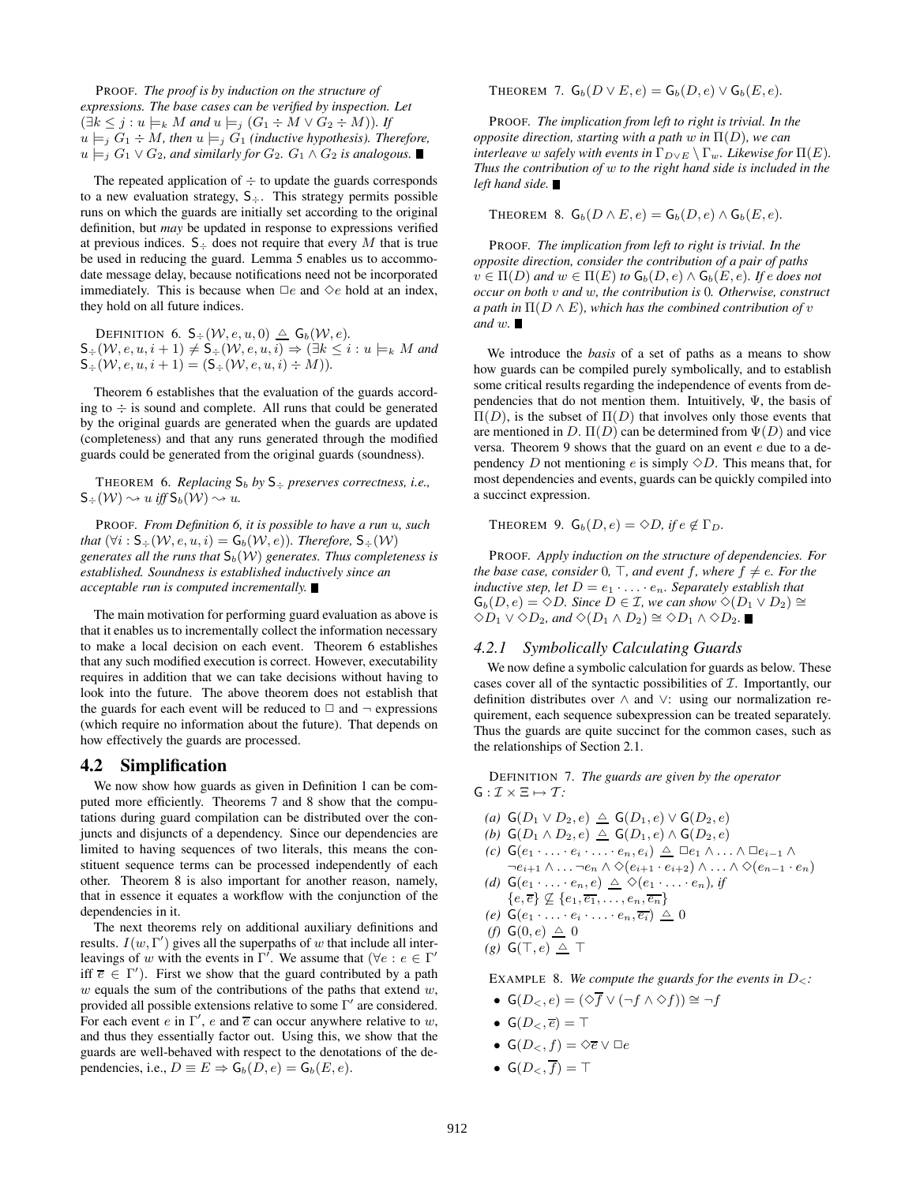PROOF. *The proof is by induction on the structure of expressions. The base cases can be verified by inspection. Let*  $(\exists k \leq j : u \models_k M \text{ and } u \models_i (G_1 \div M \vee G_2 \div M)).$  If  $u \models_j G_1 \div M$ , then  $u \models_j G_1$  *(inductive hypothesis). Therefore,*  $u \models_j G_1 ∨ G_2$ , and similarly for  $G_2$ .  $G_1 ∧ G_2$  is analogous. ■

The repeated application of  $\div$  to update the guards corresponds to a new evaluation strategy,  $S_{\div}$ . This strategy permits possible runs on which the guards are initially set according to the original definition, but *may* be updated in response to expressions verified at previous indices.  $S_{\div}$  does not require that every M that is true be used in reducing the guard. Lemma 5 enables us to accommodate message delay, because notifications need not be incorporated immediately. This is because when  $\Box e$  and  $\Diamond e$  hold at an index, they hold on all future indices.

DEFINITION 6.  $S=(\mathcal{W}, e, u, 0) \triangleq G_b(\mathcal{W}, e)$ .<br>  $(\mathcal{W}, e, u, i+1) \neq S$ .  $(\mathcal{W}, e, u, i) \rightarrow (\exists k < i)$  $S=(\mathcal{W}, e, u, i+1) \neq S-(\mathcal{W}, e, u, i) \Rightarrow (\exists k \leq i : u \models_k M \text{ and }$  $S_{\div}(\mathcal{W}, e, u, i + 1) = (S_{\div}(\mathcal{W}, e, u, i) \div M).$ 

Theorem 6 establishes that the evaluation of the guards according to  $\div$  is sound and complete. All runs that could be generated by the original guards are generated when the guards are updated (completeness) and that any runs generated through the modified guards could be generated from the original guards (soundness).

THEOREM 6. *Replacing*  $S_b$  *by*  $S_{\div}$  *preserves correctness, i.e.,*  $S_{\div}(\mathcal{W}) \rightsquigarrow u$  *iff*  $S_b(\mathcal{W}) \rightsquigarrow u$ *.* 

PROOF. *From Definition 6, it is possible to have a run* u*, such that*  $(\forall i : S_{\div}(\mathcal{W}, e, u, i) = G_b(\mathcal{W}, e))$ *. Therefore,*  $S_{\div}(\mathcal{W})$ *generates all the runs that*  $S_b(W)$  *generates. Thus completeness is established. Soundness is established inductively since an acceptable run is computed incrementally.*

The main motivation for performing guard evaluation as above is that it enables us to incrementally collect the information necessary to make a local decision on each event. Theorem 6 establishes that any such modified execution is correct. However, executability requires in addition that we can take decisions without having to look into the future. The above theorem does not establish that the guards for each event will be reduced to  $\Box$  and  $\neg$  expressions (which require no information about the future). That depends on how effectively the guards are processed.

## **4.2 Simplification**

We now show how guards as given in Definition 1 can be computed more efficiently. Theorems 7 and 8 show that the computations during guard compilation can be distributed over the conjuncts and disjuncts of a dependency. Since our dependencies are limited to having sequences of two literals, this means the constituent sequence terms can be processed independently of each other. Theorem 8 is also important for another reason, namely, that in essence it equates a workflow with the conjunction of the dependencies in it.

The next theorems rely on additional auxiliary definitions and results.  $I(w, \Gamma')$  gives all the superpaths of w that include all inter-<br>leavings of w with the events in  $\Gamma'$ . We assume that  $(\forall e : e \in \Gamma')$ leavings of w with the events in Γ'. We assume that  $(\forall e : e \in \Gamma')$ <br>iff  $\overline{e} \in \Gamma'$ ) First we show that the quard contributed by a path iff  $\overline{e} \in \Gamma'$ ). First we show that the guard contributed by a path  $w$  equals the sum of the contributions of the paths that extend  $w$  $w$  equals the sum of the contributions of the paths that extend  $w$ , provided all possible extensions relative to some  $\Gamma'$  are considered. For each event e in  $\Gamma'$ , e and  $\overline{e}$  can occur anywhere relative to w, and thus they essentially factor out. Hence this, we show that the and thus they essentially factor out. Using this, we show that the guards are well-behaved with respect to the denotations of the dependencies, i.e.,  $D \equiv E \Rightarrow \mathsf{G}_b(D,e) = \mathsf{G}_b(E,e)$ .

THEOREM 7.  $G_b(D \vee E, e) = G_b(D, e) \vee G_b(E, e)$ .

PROOF. *The implication from left to right is trivial. In the opposite direction, starting with a path* w *in* Π(D)*, we can interleave* w *safely* with events in  $\Gamma_{D \vee E} \setminus \Gamma_w$ . Likewise for  $\Pi(E)$ . *Thus the contribution of* w *to the right hand side is included in the left hand side.*

THEOREM 8.  $\mathsf{G}_b(D \wedge E, e) = \mathsf{G}_b(D, e) \wedge \mathsf{G}_b(E, e)$ .

PROOF. *The implication from left to right is trivial. In the opposite direction, consider the contribution of a pair of paths*  $v \in \Pi(D)$  and  $w \in \Pi(E)$  to  $\mathsf{G}_b(D,e) \wedge \mathsf{G}_b(E,e)$ *. If e does not occur on both* v *and* w*, the contribution is* <sup>0</sup>*. Otherwise, construct a path in*  $\Pi(D \wedge E)$ *, which has the combined contribution of v and* w*.*

We introduce the *basis* of a set of paths as a means to show how guards can be compiled purely symbolically, and to establish some critical results regarding the independence of events from dependencies that do not mention them. Intuitively, Ψ, the basis of  $\Pi(D)$ , is the subset of  $\Pi(D)$  that involves only those events that are mentioned in D.  $\Pi(D)$  can be determined from  $\Psi(D)$  and vice versa. Theorem 9 shows that the guard on an event e due to a dependency D not mentioning e is simply  $\Diamond D$ . This means that, for most dependencies and events, guards can be quickly compiled into a succinct expression.

THEOREM 9. 
$$
G_b(D,e) = \Diamond D
$$
, if  $e \notin \Gamma_D$ .

PROOF. *Apply induction on the structure of dependencies. For the base case, consider* 0,  $\top$ *, and event* f*, where*  $f \neq e$ *. For the inductive step, let*  $D = e_1 \cdot \ldots \cdot e_n$ *. Separately establish that*  $\mathsf{G}_b(D, e) = \Diamond D$ *. Since*  $D \in \mathcal{I}$ *, we can show*  $\Diamond (D_1 \vee D_2) \cong$  $\diamond D_1 \vee \diamond D_2$ , and  $\diamond (D_1 \wedge D_2) \cong \diamond D_1 \wedge \diamond D_2$ . ■

#### *4.2.1 Symbolically Calculating Guards*

We now define a symbolic calculation for guards as below. These cases cover all of the syntactic possibilities of  $I$ . Importantly, our definition distributes over ∧ and ∨: using our normalization requirement, each sequence subexpression can be treated separately. Thus the guards are quite succinct for the common cases, such as the relationships of Section 2.1.

DEFINITION 7. *The guards are given by the operator*  $G: \mathcal{I} \times \Xi \mapsto \mathcal{T}$ 

- $(a) G(D_1 \vee D_2, e) \triangle G(D_1, e) \vee G(D_2, e)$ <br>  $(b) G(D_1 \wedge D_2, e) \wedge G(D_1, e) \wedge G(D_2, e)$
- $\zeta(b)$  **G**(D<sub>1</sub> ∧ D<sub>2</sub>, e)  $\triangle$  **G**(D<sub>1</sub>, e) ∧ **G**(D<sub>2</sub>, e)  $\zeta(c)$  **G**(e)  $\zeta(c)$  **G**(e)  $\zeta(c)$   $\zeta(c)$
- $(c) G(e_1 \cdot \ldots \cdot e_i \cdot \ldots \cdot e_n, e_i) \triangleq \Box e_1 \wedge \ldots \wedge \Box e_{i-1} \wedge$ <br>  $\Box e \cup \wedge \Box e \wedge \Diamond (e \cup \Box e \cup \Diamond \wedge \Diamond (e \cup \Box e \cup \Diamond \Diamond \Diamond))$  $\neg e_{i+1} \wedge \ldots \neg e_n \wedge \Diamond(e_{i+1} \cdot e_{i+2}) \wedge \ldots \wedge \Diamond(e_{n-1} \cdot e_n)$
- (d)  $\mathsf{G}(e_1 \cdot \ldots \cdot e_n, e) \triangleq \lozenge(e_1 \cdot \ldots \cdot e_n), \text{ if }$ <br>  $\{e \in \mathsf{G} \mid \mathcal{F} \mid e_1 \in \mathsf{G} \mid e_2 \in \mathsf{G} \}$  ${e, \overline{e} \} \nsubseteq {e_1, \overline{e_1}, \ldots, e_n, \overline{e_n}}$
- 
- $(e)$   $G(e_1 \cdot \ldots \cdot e_i \cdot \ldots \cdot e_n, \overline{e_i}) \triangleq 0$ <br>
(f)  $G(0, e) \triangleq 0$
- (*f*)  $G(0, e) \triangleq 0$ <br>(*a*)  $G(T, e)$   $\wedge$
- $(g)$   $G(\top, e) \triangleq \top$

EXAMPLE 8. We compute the guards for the events in  $D_{\leq}$ :

- $G(D_<, e) = (\Diamond \overline{f} \vee (\neg f \wedge \Diamond f)) \cong \neg f$
- $G(D_<, \overline{e}) = T$
- $G(D_<, f) = \Diamond \overline{e} \vee \Box e$
- $G(D_<,\overline{f}) = \top$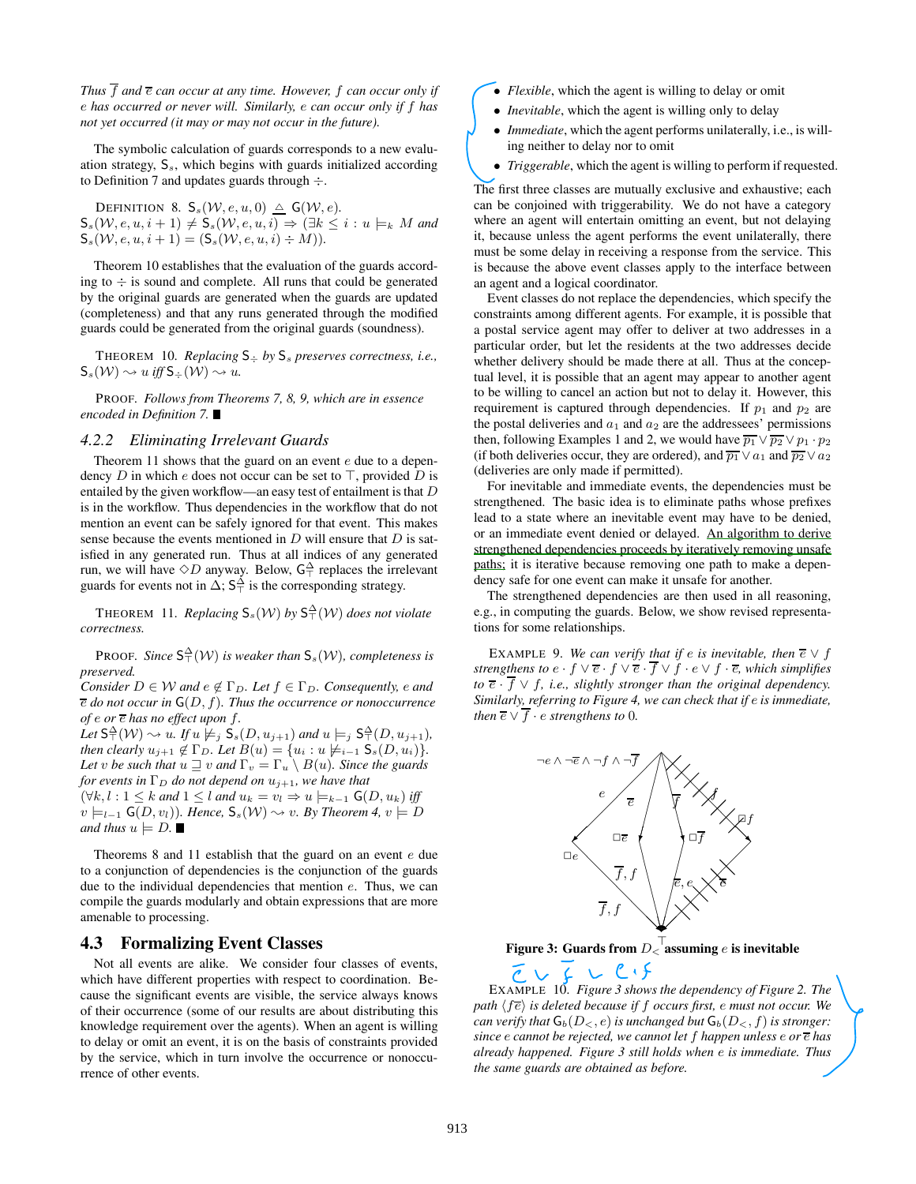*Thus*  $\overline{f}$  *and*  $\overline{e}$  *can occur at any time. However,*  $f$  *can occur only if* e *has occurred or never will. Similarly,* e *can occur only if* f *has not yet occurred (it may or may not occur in the future).*

The symbolic calculation of guards corresponds to a new evaluation strategy,  $S_s$ , which begins with guards initialized according to Definition 7 and updates guards through  $\div$ .

DEFINITION 8.  $S_s(W, e, u, 0) \triangleq G(W, e)$ .<br>(*W*)  $e, u, i+1) \neq S(W, e, u, i) \rightarrow \exists k \leq$  $S_s(W, e, u, i+1) \neq S_s(W, e, u, i) \Rightarrow (\exists k \leq i : u \models_k M \text{ and }$  $S_s(W, e, u, i + 1) = (S_s(W, e, u, i) \div M)).$ 

Theorem 10 establishes that the evaluation of the guards according to  $\div$  is sound and complete. All runs that could be generated by the original guards are generated when the guards are updated (completeness) and that any runs generated through the modified guards could be generated from the original guards (soundness).

THEOREM 10. *Replacing*  $S_+$  *by*  $S_s$  *preserves correctness, i.e.,*  $S_s(\mathcal{W}) \rightsquigarrow u$  *iff*  $S_{\div}(\mathcal{W}) \rightsquigarrow u$ *.* 

PROOF. *Follows from Theorems 7, 8, 9, which are in essence encoded in Definition 7.*

#### *4.2.2 Eliminating Irrelevant Guards*

Theorem 11 shows that the guard on an event e due to a dependency D in which e does not occur can be set to  $\top$ , provided D is entailed by the given workflow—an easy test of entailment is that D is in the workflow. Thus dependencies in the workflow that do not mention an event can be safely ignored for that event. This makes sense because the events mentioned in  $D$  will ensure that  $D$  is satisfied in any generated run. Thus at all indices of any generated run, we will have  $\diamond D$  anyway. Below,  $G_T^{\triangle}$  replaces the irrelevant quards for events not in  $\wedge \cdot S_{\square}^{\triangle}$  is the corresponding strategy guards for events not in  $\Delta$ ;  $S^{\Delta}$  is the corresponding strategy.

THEOREM 11. *Replacing*  $\mathsf{S}_s(\mathcal{W})$  by  $\mathsf{S}_{\top}^{\Delta}(\mathcal{W})$  does not violate *correctness.*

PROOF. Since  $S^{\Delta}_{\top}(\mathcal{W})$  is weaker than  $S_s(\mathcal{W})$ , completeness is *preserved.*

*Consider*  $D \in \mathcal{W}$  *and*  $e \notin \Gamma_D$ *. Let*  $f \in \Gamma_D$ *. Consequently, e and*  $\overline{e}$  *do not occur in*  $\mathsf{G}(D, f)$ *. Thus the occurrence or nonoccurrence of* <sup>e</sup> *or* e *has no effect upon* f*.* Let  $S^{\Delta}_{\Gamma}(W) \rightsquigarrow u$ . If  $u \not\models_j S_s(D, u_{j+1})$  and  $u \models_j S^{\Delta}_{\Gamma}(D, u_{j+1})$ ,<br>then clearly  $u_{j+1} \not\subset \Gamma_{\Gamma}$ , Let  $B(u) = f u_{j+1} \not\vdash_j S$ ,  $(D, u_{j+1})$ *then clearly*  $u_{j+1} \notin \Gamma_D$ *. Let*  $B(u) = \{u_i : u \not\models_{i-1} S_s(D, u_i)\}.$ *Let v be such that*  $u \supseteq v$  *and*  $\Gamma_v = \Gamma_u \setminus B(u)$ *. Since the guards for events in*  $\Gamma_D$  *do not depend on*  $u_{j+1}$ *, we have that*  $(\forall k, l : 1 \leq k \text{ and } 1 \leq l \text{ and } u_k = v_l \Rightarrow u \models_{k-1} \mathsf{G}(D, u_k) \text{ iff }$ 

 $v \models_{l-1} G(D, v_l)$ *). Hence,*  $S_s(W) \rightsquigarrow v$ *. By Theorem 4,*  $v \models D$ *and thus*  $u \models D$ .

Theorems 8 and 11 establish that the guard on an event e due to a conjunction of dependencies is the conjunction of the guards due to the individual dependencies that mention e. Thus, we can compile the guards modularly and obtain expressions that are more amenable to processing.

#### **4.3 Formalizing Event Classes**

Not all events are alike. We consider four classes of events, which have different properties with respect to coordination. Because the significant events are visible, the service always knows of their occurrence (some of our results are about distributing this knowledge requirement over the agents). When an agent is willing to delay or omit an event, it is on the basis of constraints provided by the service, which in turn involve the occurrence or nonoccurrence of other events.

- *Flexible*, which the agent is willing to delay or omit
- *Inevitable*, which the agent is willing only to delay
- *Immediate*, which the agent performs unilaterally, i.e., is willing neither to delay nor to omit
- *Triggerable*, which the agent is willing to perform if requested.

The first three classes are mutually exclusive and exhaustive; each can be conjoined with triggerability. We do not have a category where an agent will entertain omitting an event, but not delaying it, because unless the agent performs the event unilaterally, there must be some delay in receiving a response from the service. This is because the above event classes apply to the interface between an agent and a logical coordinator.

Event classes do not replace the dependencies, which specify the constraints among different agents. For example, it is possible that a postal service agent may offer to deliver at two addresses in a particular order, but let the residents at the two addresses decide whether delivery should be made there at all. Thus at the conceptual level, it is possible that an agent may appear to another agent to be willing to cancel an action but not to delay it. However, this requirement is captured through dependencies. If  $p_1$  and  $p_2$  are the postal deliveries and  $a_1$  and  $a_2$  are the addressees' permissions then, following Examples 1 and 2, we would have  $\overline{p_1} \vee \overline{p_2} \vee p_1 \cdot p_2$ (if both deliveries occur, they are ordered), and  $\overline{p_1} \vee a_1$  and  $\overline{p_2} \vee a_2$ (deliveries are only made if permitted).

For inevitable and immediate events, the dependencies must be strengthened. The basic idea is to eliminate paths whose prefixes lead to a state where an inevitable event may have to be denied, or an immediate event denied or delayed. An algorithm to derive strengthened dependencies proceeds by iteratively removing unsafe paths; it is iterative because removing one path to make a dependency safe for one event can make it unsafe for another.

The strengthened dependencies are then used in all reasoning, e.g., in computing the guards. Below, we show revised representations for some relationships.

EXAMPLE 9. We can verify that if e is inevitable, then  $\overline{e} \vee f$ *strengthens to*  $e \cdot f \vee \overline{e} \cdot f \vee \overline{e} \cdot \overline{f} \vee f \cdot e \vee f \cdot \overline{e}$ , which simplifies *to*  $\overline{e} \cdot \overline{f} \vee f$ , *i.e.*, *slightly stronger than the original dependency. Similarly, referring to Figure 4, we can check that if* e *is immediate, then*  $\overline{e} \vee \overline{f} \cdot e$  *strengthens to* 0*.* 



**Figure 3: Guards from**  $D_{\leq}$  assuming *e* is inevitable

EXAMPLE 10. *Figure 3 shows the dependency of Figure 2. The path*  $\langle f\overline{e}\rangle$  *is deleted because if* f *occurs first, e must not occur. We can verify that*  $G_b(D_<, e)$  *is unchanged but*  $G_b(D_<, f)$  *is stronger: since e cannot be rejected, we cannot let f happen unless e or*  $\overline{e}$  *has already happened. Figure 3 still holds when* e *is immediate. Thus the same guards are obtained as before.*